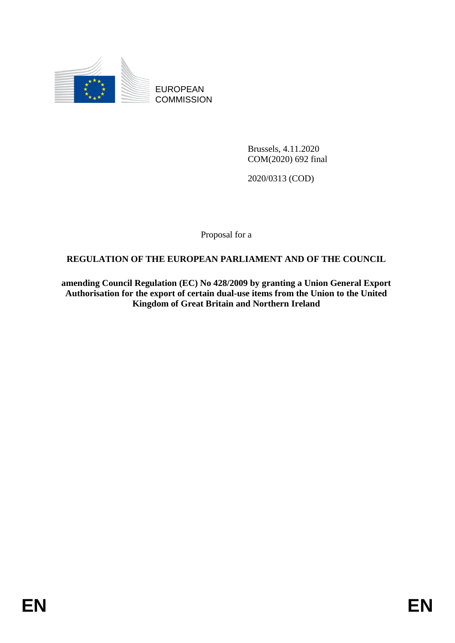

EUROPEAN **COMMISSION** 

> Brussels, 4.11.2020 COM(2020) 692 final

2020/0313 (COD)

Proposal for a

## **REGULATION OF THE EUROPEAN PARLIAMENT AND OF THE COUNCIL**

**amending Council Regulation (EC) No 428/2009 by granting a Union General Export Authorisation for the export of certain dual-use items from the Union to the United Kingdom of Great Britain and Northern Ireland**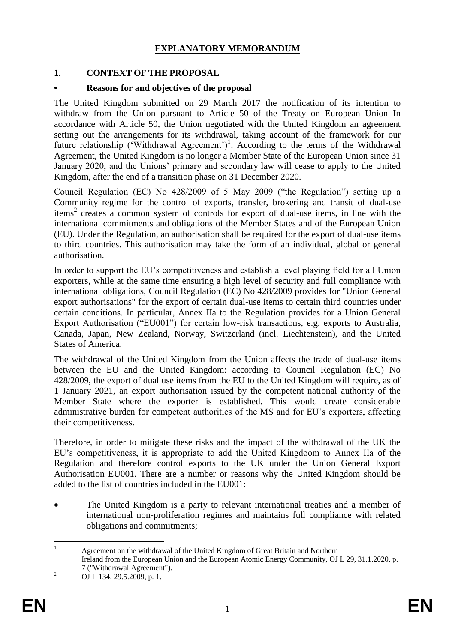## **EXPLANATORY MEMORANDUM**

## **1. CONTEXT OF THE PROPOSAL**

## **• Reasons for and objectives of the proposal**

The United Kingdom submitted on 29 March 2017 the notification of its intention to withdraw from the Union pursuant to Article 50 of the Treaty on European Union In accordance with Article 50, the Union negotiated with the United Kingdom an agreement setting out the arrangements for its withdrawal, taking account of the framework for our future relationship ('Withdrawal Agreement')<sup>1</sup>. According to the terms of the Withdrawal Agreement, the United Kingdom is no longer a Member State of the European Union since 31 January 2020, and the Unions' primary and secondary law will cease to apply to the United Kingdom, after the end of a transition phase on 31 December 2020.

Council Regulation (EC) No 428/2009 of 5 May 2009 ("the Regulation") setting up a Community regime for the control of exports, transfer, brokering and transit of dual-use items<sup>2</sup> creates a common system of controls for export of dual-use items, in line with the international commitments and obligations of the Member States and of the European Union (EU). Under the Regulation, an authorisation shall be required for the export of dual-use items to third countries. This authorisation may take the form of an individual, global or general authorisation.

In order to support the EU's competitiveness and establish a level playing field for all Union exporters, while at the same time ensuring a high level of security and full compliance with international obligations, Council Regulation (EC) No 428/2009 provides for "Union General export authorisations" for the export of certain dual-use items to certain third countries under certain conditions. In particular, Annex IIa to the Regulation provides for a Union General Export Authorisation ("EU001") for certain low-risk transactions, e.g. exports to Australia, Canada, Japan, New Zealand, Norway, Switzerland (incl. Liechtenstein), and the United States of America.

The withdrawal of the United Kingdom from the Union affects the trade of dual-use items between the EU and the United Kingdom: according to Council Regulation (EC) No 428/2009, the export of dual use items from the EU to the United Kingdom will require, as of 1 January 2021, an export authorisation issued by the competent national authority of the Member State where the exporter is established. This would create considerable administrative burden for competent authorities of the MS and for EU's exporters, affecting their competitiveness.

Therefore, in order to mitigate these risks and the impact of the withdrawal of the UK the EU's competitiveness, it is appropriate to add the United Kingdoom to Annex IIa of the Regulation and therefore control exports to the UK under the Union General Export Authorisation EU001. There are a number or reasons why the United Kingdom should be added to the list of countries included in the EU001:

 The United Kingdom is a party to relevant international treaties and a member of international non-proliferation regimes and maintains full compliance with related obligations and commitments;

 $\mathbf{1}$ <sup>1</sup> Agreement on the withdrawal of the United Kingdom of Great Britain and Northern Ireland from the European Union and the European Atomic Energy Community, OJ L 29, 31.1.2020, p. 7 ("Withdrawal Agreement").

<sup>&</sup>lt;sup>2</sup> OJ L 134, 29.5.2009, p. 1.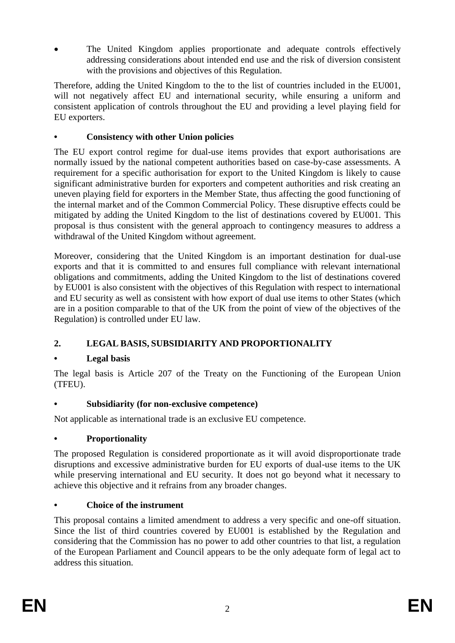The United Kingdom applies proportionate and adequate controls effectively addressing considerations about intended end use and the risk of diversion consistent with the provisions and objectives of this Regulation.

Therefore, adding the United Kingdom to the to the list of countries included in the EU001, will not negatively affect EU and international security, while ensuring a uniform and consistent application of controls throughout the EU and providing a level playing field for EU exporters.

## **• Consistency with other Union policies**

The EU export control regime for dual-use items provides that export authorisations are normally issued by the national competent authorities based on case-by-case assessments. A requirement for a specific authorisation for export to the United Kingdom is likely to cause significant administrative burden for exporters and competent authorities and risk creating an uneven playing field for exporters in the Member State, thus affecting the good functioning of the internal market and of the Common Commercial Policy. These disruptive effects could be mitigated by adding the United Kingdom to the list of destinations covered by EU001. This proposal is thus consistent with the general approach to contingency measures to address a withdrawal of the United Kingdom without agreement.

Moreover, considering that the United Kingdom is an important destination for dual-use exports and that it is committed to and ensures full compliance with relevant international obligations and commitments, adding the United Kingdom to the list of destinations covered by EU001 is also consistent with the objectives of this Regulation with respect to international and EU security as well as consistent with how export of dual use items to other States (which are in a position comparable to that of the UK from the point of view of the objectives of the Regulation) is controlled under EU law.

# **2. LEGAL BASIS, SUBSIDIARITY AND PROPORTIONALITY**

## **• Legal basis**

The legal basis is Article 207 of the Treaty on the Functioning of the European Union (TFEU).

## **• Subsidiarity (for non-exclusive competence)**

Not applicable as international trade is an exclusive EU competence.

## **• Proportionality**

The proposed Regulation is considered proportionate as it will avoid disproportionate trade disruptions and excessive administrative burden for EU exports of dual-use items to the UK while preserving international and EU security. It does not go beyond what it necessary to achieve this objective and it refrains from any broader changes.

## **• Choice of the instrument**

This proposal contains a limited amendment to address a very specific and one-off situation. Since the list of third countries covered by EU001 is established by the Regulation and considering that the Commission has no power to add other countries to that list, a regulation of the European Parliament and Council appears to be the only adequate form of legal act to address this situation.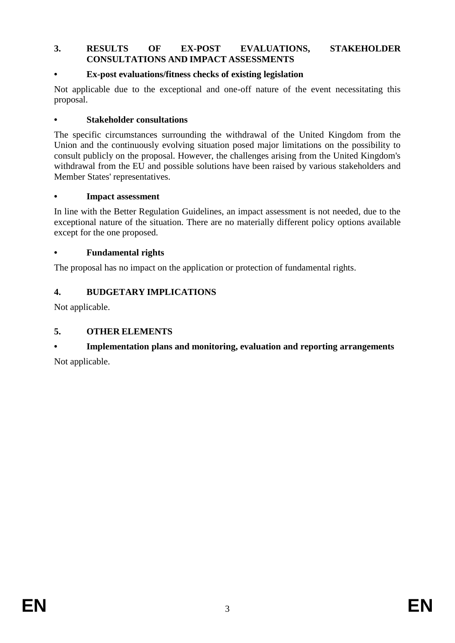#### **3. RESULTS OF EX-POST EVALUATIONS, STAKEHOLDER CONSULTATIONS AND IMPACT ASSESSMENTS**

### **• Ex-post evaluations/fitness checks of existing legislation**

Not applicable due to the exceptional and one-off nature of the event necessitating this proposal.

### **• Stakeholder consultations**

The specific circumstances surrounding the withdrawal of the United Kingdom from the Union and the continuously evolving situation posed major limitations on the possibility to consult publicly on the proposal. However, the challenges arising from the United Kingdom's withdrawal from the EU and possible solutions have been raised by various stakeholders and Member States' representatives.

#### **• Impact assessment**

In line with the Better Regulation Guidelines, an impact assessment is not needed, due to the exceptional nature of the situation. There are no materially different policy options available except for the one proposed.

### **• Fundamental rights**

The proposal has no impact on the application or protection of fundamental rights.

## **4. BUDGETARY IMPLICATIONS**

Not applicable.

## **5. OTHER ELEMENTS**

## **• Implementation plans and monitoring, evaluation and reporting arrangements**

Not applicable.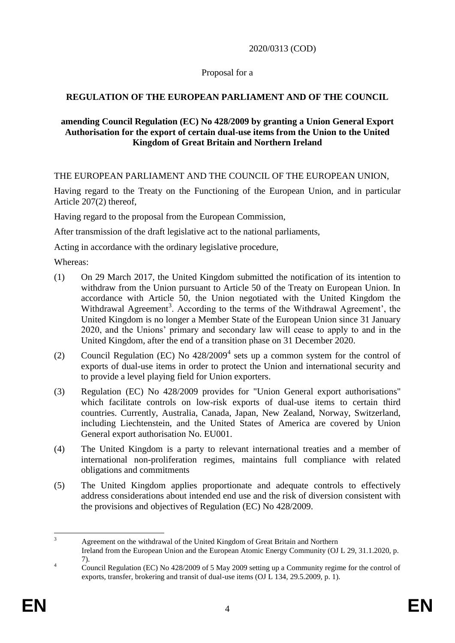2020/0313 (COD)

### Proposal for a

## **REGULATION OF THE EUROPEAN PARLIAMENT AND OF THE COUNCIL**

### **amending Council Regulation (EC) No 428/2009 by granting a Union General Export Authorisation for the export of certain dual-use items from the Union to the United Kingdom of Great Britain and Northern Ireland**

THE EUROPEAN PARLIAMENT AND THE COUNCIL OF THE EUROPEAN UNION,

Having regard to the Treaty on the Functioning of the European Union, and in particular Article 207(2) thereof,

Having regard to the proposal from the European Commission,

After transmission of the draft legislative act to the national parliaments,

Acting in accordance with the ordinary legislative procedure,

Whereas:

- (1) On 29 March 2017, the United Kingdom submitted the notification of its intention to withdraw from the Union pursuant to Article 50 of the Treaty on European Union. In accordance with Article 50, the Union negotiated with the United Kingdom the Withdrawal Agreement<sup>3</sup>. According to the terms of the Withdrawal Agreement', the United Kingdom is no longer a Member State of the European Union since 31 January 2020, and the Unions' primary and secondary law will cease to apply to and in the United Kingdom, after the end of a transition phase on 31 December 2020.
- (2) Council Regulation (EC) No  $428/2009<sup>4</sup>$  sets up a common system for the control of exports of dual-use items in order to protect the Union and international security and to provide a level playing field for Union exporters.
- (3) Regulation (EC) No 428/2009 provides for "Union General export authorisations" which facilitate controls on low-risk exports of dual-use items to certain third countries. Currently, Australia, Canada, Japan, New Zealand, Norway, Switzerland, including Liechtenstein, and the United States of America are covered by Union General export authorisation No. EU001.
- (4) The United Kingdom is a party to relevant international treaties and a member of international non-proliferation regimes, maintains full compliance with related obligations and commitments
- (5) The United Kingdom applies proportionate and adequate controls to effectively address considerations about intended end use and the risk of diversion consistent with the provisions and objectives of Regulation (EC) No 428/2009.

 $\overline{a}$ <sup>3</sup> Agreement on the withdrawal of the United Kingdom of Great Britain and Northern Ireland from the European Union and the European Atomic Energy Community (OJ L 29, 31.1.2020, p. 7).

<sup>&</sup>lt;sup>4</sup> Council Regulation (EC) No 428/2009 of 5 May 2009 setting up a Community regime for the control of exports, transfer, brokering and transit of dual-use items (OJ L 134, 29.5.2009, p. 1).